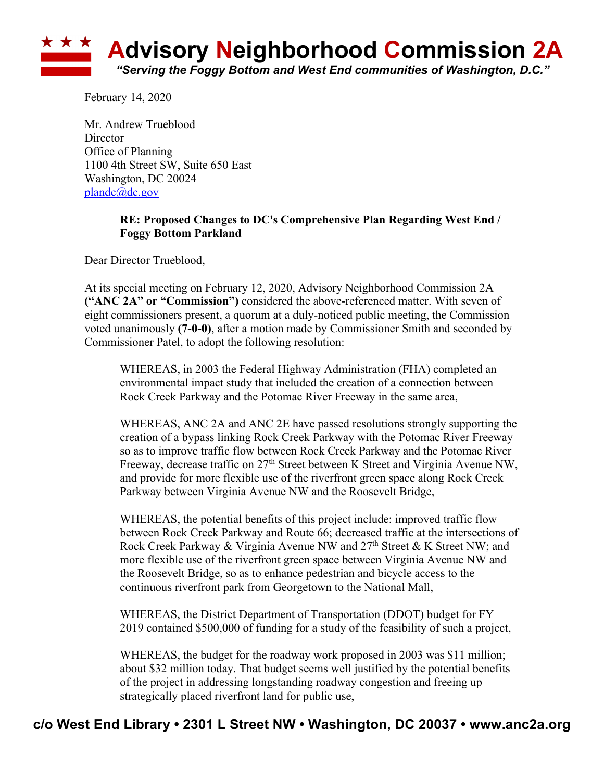

February 14, 2020

Mr. Andrew Trueblood **Director** Office of Planning 1100 4th Street SW, Suite 650 East Washington, DC 20024 plandc@dc.gov

## **RE: Proposed Changes to DC's Comprehensive Plan Regarding West End / Foggy Bottom Parkland**

Dear Director Trueblood,

At its special meeting on February 12, 2020, Advisory Neighborhood Commission 2A **("ANC 2A" or "Commission")** considered the above-referenced matter. With seven of eight commissioners present, a quorum at a duly-noticed public meeting, the Commission voted unanimously **(7-0-0)**, after a motion made by Commissioner Smith and seconded by Commissioner Patel, to adopt the following resolution:

WHEREAS, in 2003 the Federal Highway Administration (FHA) completed an environmental impact study that included the creation of a connection between Rock Creek Parkway and the Potomac River Freeway in the same area,

WHEREAS, ANC 2A and ANC 2E have passed resolutions strongly supporting the creation of a bypass linking Rock Creek Parkway with the Potomac River Freeway so as to improve traffic flow between Rock Creek Parkway and the Potomac River Freeway, decrease traffic on 27<sup>th</sup> Street between K Street and Virginia Avenue NW, and provide for more flexible use of the riverfront green space along Rock Creek Parkway between Virginia Avenue NW and the Roosevelt Bridge,

WHEREAS, the potential benefits of this project include: improved traffic flow between Rock Creek Parkway and Route 66; decreased traffic at the intersections of Rock Creek Parkway & Virginia Avenue NW and 27<sup>th</sup> Street & K Street NW; and more flexible use of the riverfront green space between Virginia Avenue NW and the Roosevelt Bridge, so as to enhance pedestrian and bicycle access to the continuous riverfront park from Georgetown to the National Mall,

WHEREAS, the District Department of Transportation (DDOT) budget for FY 2019 contained \$500,000 of funding for a study of the feasibility of such a project,

WHEREAS, the budget for the roadway work proposed in 2003 was \$11 million; about \$32 million today. That budget seems well justified by the potential benefits of the project in addressing longstanding roadway congestion and freeing up strategically placed riverfront land for public use,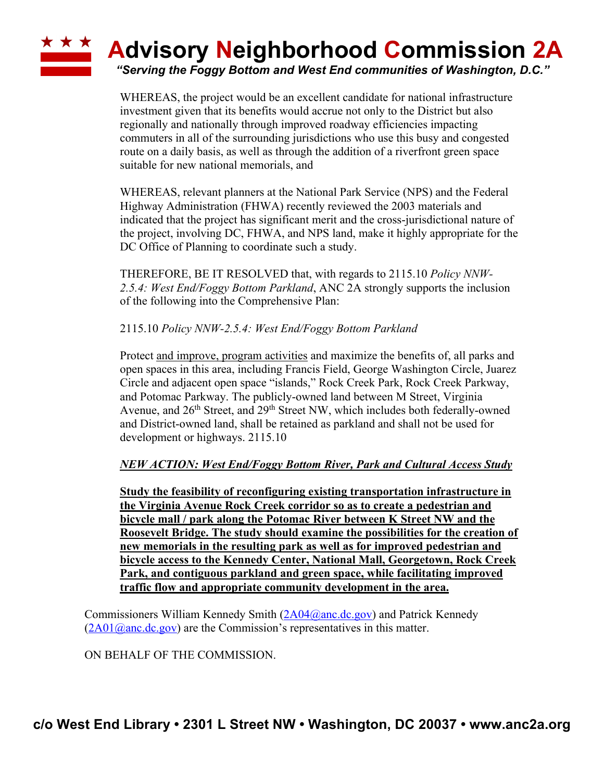## **\* \* \* Advisory Neighborhood Commission 2A**

*"Serving the Foggy Bottom and West End communities of Washington, D.C."*

WHEREAS, the project would be an excellent candidate for national infrastructure investment given that its benefits would accrue not only to the District but also regionally and nationally through improved roadway efficiencies impacting commuters in all of the surrounding jurisdictions who use this busy and congested route on a daily basis, as well as through the addition of a riverfront green space suitable for new national memorials, and

WHEREAS, relevant planners at the National Park Service (NPS) and the Federal Highway Administration (FHWA) recently reviewed the 2003 materials and indicated that the project has significant merit and the cross-jurisdictional nature of the project, involving DC, FHWA, and NPS land, make it highly appropriate for the DC Office of Planning to coordinate such a study.

THEREFORE, BE IT RESOLVED that, with regards to 2115.10 *Policy NNW-2.5.4: West End/Foggy Bottom Parkland*, ANC 2A strongly supports the inclusion of the following into the Comprehensive Plan:

2115.10 *Policy NNW-2.5.4: West End/Foggy Bottom Parkland*

Protect and improve, program activities and maximize the benefits of, all parks and open spaces in this area, including Francis Field, George Washington Circle, Juarez Circle and adjacent open space "islands," Rock Creek Park, Rock Creek Parkway, and Potomac Parkway. The publicly-owned land between M Street, Virginia Avenue, and 26<sup>th</sup> Street, and 29<sup>th</sup> Street NW, which includes both federally-owned and District-owned land, shall be retained as parkland and shall not be used for development or highways. 2115.10

## *NEW ACTION: West End/Foggy Bottom River, Park and Cultural Access Study*

**Study the feasibility of reconfiguring existing transportation infrastructure in the Virginia Avenue Rock Creek corridor so as to create a pedestrian and bicycle mall / park along the Potomac River between K Street NW and the Roosevelt Bridge. The study should examine the possibilities for the creation of new memorials in the resulting park as well as for improved pedestrian and bicycle access to the Kennedy Center, National Mall, Georgetown, Rock Creek Park, and contiguous parkland and green space, while facilitating improved traffic flow and appropriate community development in the area.**

Commissioners William Kennedy Smith (2A04@anc.dc.gov) and Patrick Kennedy  $(2A01@anc.de.gov)$  are the Commission's representatives in this matter.

ON BEHALF OF THE COMMISSION.